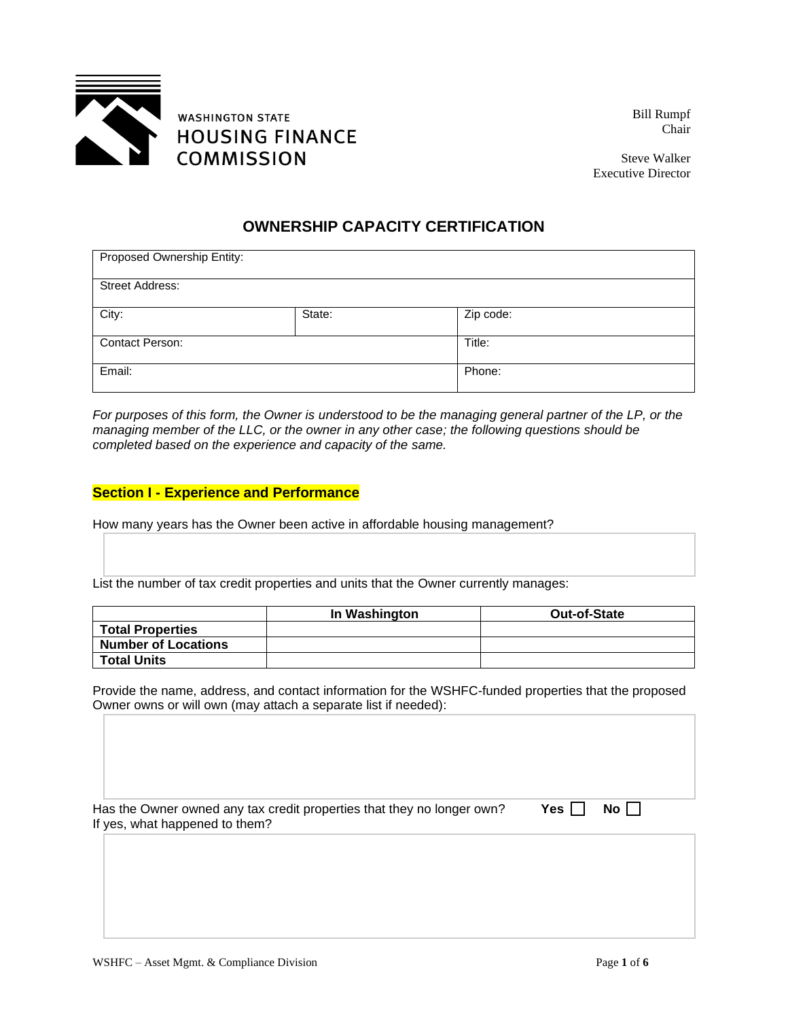

Bill Rumpf Chair

Steve Walker Executive Director

## **OWNERSHIP CAPACITY CERTIFICATION**

| Proposed Ownership Entity: |        |           |  |  |
|----------------------------|--------|-----------|--|--|
| <b>Street Address:</b>     |        |           |  |  |
| City:                      | State: | Zip code: |  |  |
| <b>Contact Person:</b>     |        | Title:    |  |  |
| Email:                     |        | Phone:    |  |  |

*For purposes of this form, the Owner is understood to be the managing general partner of the LP, or the managing member of the LLC, or the owner in any other case; the following questions should be completed based on the experience and capacity of the same.*

## **Section I - Experience and Performance**

How many years has the Owner been active in affordable housing management?

List the number of tax credit properties and units that the Owner currently manages:

|                            | In Washington | <b>Out-of-State</b> |
|----------------------------|---------------|---------------------|
| <b>Total Properties</b>    |               |                     |
| <b>Number of Locations</b> |               |                     |
| <b>Total Units</b>         |               |                     |

Provide the name, address, and contact information for the WSHFC-funded properties that the proposed Owner owns or will own (may attach a separate list if needed):

Has the Owner owned any tax credit properties that they no longer own? **Yes**  $\Box$  **No**  $\Box$ If yes, what happened to them?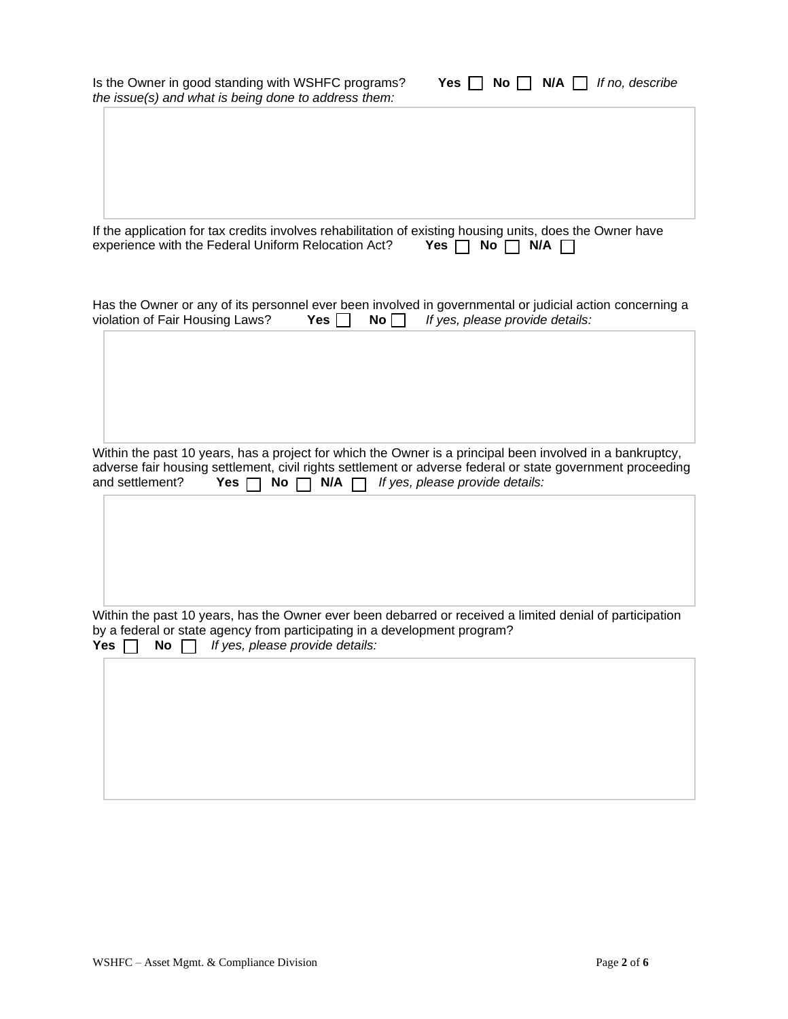| Is the Owner in good standing with WSHFC programs?<br>Yes    <br>$N/A$ $\Box$<br>If no, describe<br>$No$    <br>the issue(s) and what is being done to address them:                                        |
|-------------------------------------------------------------------------------------------------------------------------------------------------------------------------------------------------------------|
| If the application for tax credits involves rehabilitation of existing housing units, does the Owner have<br>experience with the Federal Uniform Relocation Act?<br>Yes $\Box$<br>No $\Box$<br>$N/A$ $\Box$ |
| Has the Owner or any of its personnel ever been involved in governmental or judicial action concerning a<br>violation of Fair Housing Laws?<br>If yes, please provide details:<br>Yes $\Box$<br>$No \Box$   |
| Within the past 10 years, has a project for which the Owner is a principal been involved in a bankruptcy,                                                                                                   |
| adverse fair housing settlement, civil rights settlement or adverse federal or state government proceeding<br>and settlement?<br>No $\Box$<br>$N/A$ $\Box$<br>If yes, please provide details:<br>Yes $\Box$ |
|                                                                                                                                                                                                             |
| Within the past 10 years, has the Owner ever been debarred or received a limited denial of participation<br>by a federal or state agency from participating in a development program?                       |
| If yes, please provide details:<br>No $\Box$<br>Yes $\Box$                                                                                                                                                  |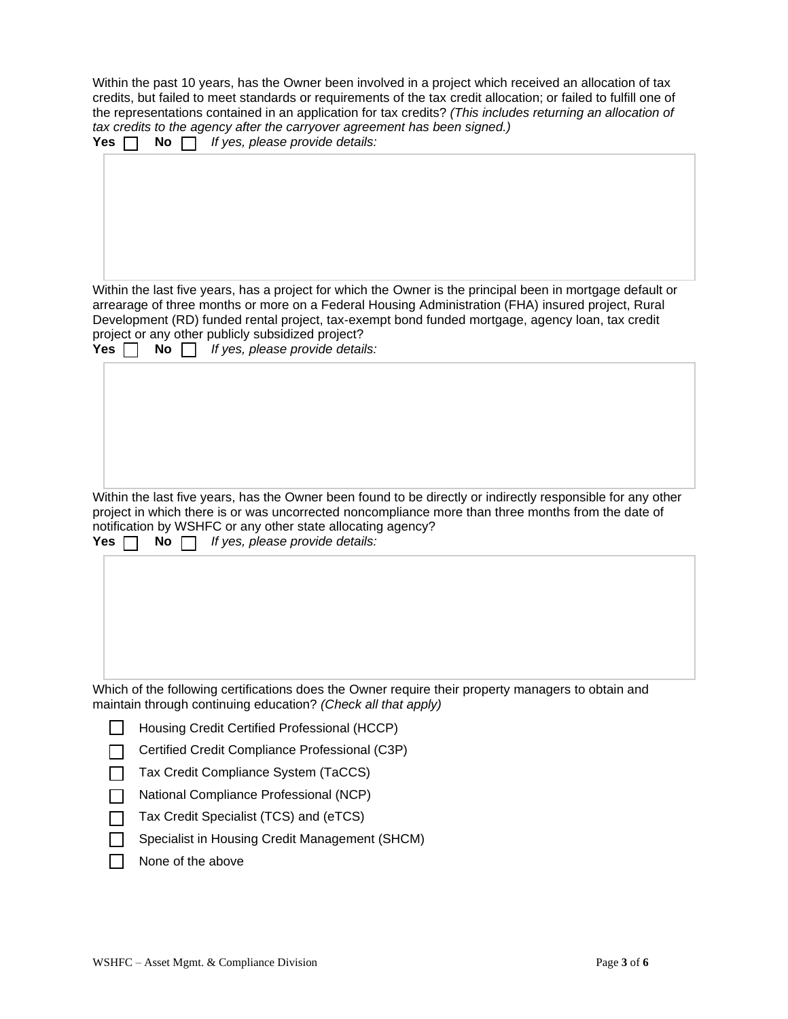Within the past 10 years, has the Owner been involved in a project which received an allocation of tax credits, but failed to meet standards or requirements of the tax credit allocation; or failed to fulfill one of the representations contained in an application for tax credits? *(This includes returning an allocation of tax credits to the agency after the carryover agreement has been signed.)*

| If yes, please provide details:<br><b>Yes</b><br><b>No</b>                                                                                                                                                                                                                                                  |
|-------------------------------------------------------------------------------------------------------------------------------------------------------------------------------------------------------------------------------------------------------------------------------------------------------------|
|                                                                                                                                                                                                                                                                                                             |
| Within the last five years, has a project for which the Owner is the principal been in mortgage default or                                                                                                                                                                                                  |
| arrearage of three months or more on a Federal Housing Administration (FHA) insured project, Rural<br>Development (RD) funded rental project, tax-exempt bond funded mortgage, agency loan, tax credit<br>project or any other publicly subsidized project?<br>If yes, please provide details:<br>Yes<br>No |
|                                                                                                                                                                                                                                                                                                             |
| Within the last five years, has the Owner been found to be directly or indirectly responsible for any other                                                                                                                                                                                                 |
| project in which there is or was uncorrected noncompliance more than three months from the date of<br>notification by WSHFC or any other state allocating agency?<br>If yes, please provide details:<br><b>Yes</b><br><b>No</b>                                                                             |
|                                                                                                                                                                                                                                                                                                             |
| Which of the following certifications does the Owner require their property managers to obtain and<br>maintain through continuing education? (Check all that apply)                                                                                                                                         |

Housing Credit Certified Professional (HCCP)

Certified Credit Compliance Professional (C3P)  $\Box$ 

Tax Credit Compliance System (TaCCS) П

National Compliance Professional (NCP) П

Tax Credit Specialist (TCS) and (eTCS) П

Specialist in Housing Credit Management (SHCM)  $\mathsf{L}$ 

None of the above $\Box$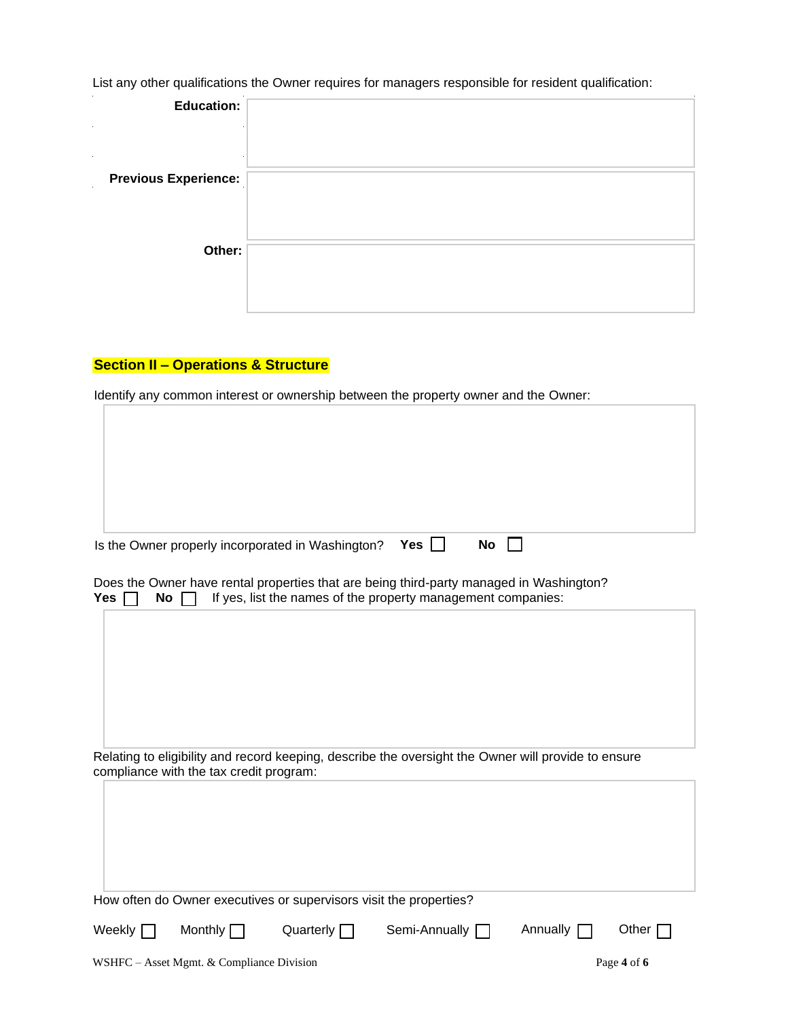List any other qualifications the Owner requires for managers responsible for resident qualification:

| <b>Education:</b>                        |  |
|------------------------------------------|--|
| $\bullet$                                |  |
| $\bullet$<br><b>Previous Experience:</b> |  |
|                                          |  |
|                                          |  |
| Other:                                   |  |
|                                          |  |
|                                          |  |

## **Section II – Operations & Structure**

Identify any common interest or ownership between the property owner and the Owner:

| Yes $\vert \ \vert$<br>Is the Owner properly incorporated in Washington?<br>No                                                                                       |
|----------------------------------------------------------------------------------------------------------------------------------------------------------------------|
| Does the Owner have rental properties that are being third-party managed in Washington?<br>If yes, list the names of the property management companies:<br>No<br>Yes |
|                                                                                                                                                                      |
| Relating to eligibility and record keeping, describe the oversight the Owner will provide to ensure<br>compliance with the tax credit program:                       |
|                                                                                                                                                                      |
| How often do Owner executives or supervisors visit the properties?                                                                                                   |
| Monthly<br>Semi-Annually [<br>Weekly [<br>Quarterly $\Box$<br>Annually<br>Other $\Gamma$                                                                             |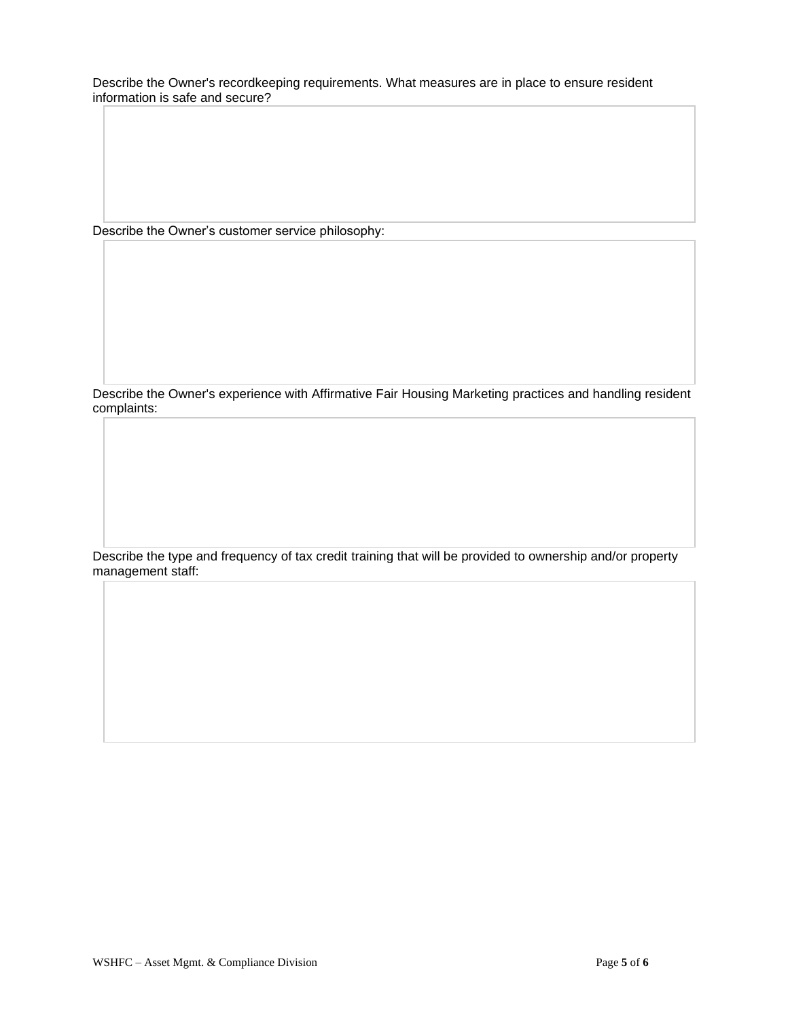Describe the Owner's recordkeeping requirements. What measures are in place to ensure resident information is safe and secure?

Describe the Owner's customer service philosophy:

Describe the Owner's experience with Affirmative Fair Housing Marketing practices and handling resident complaints:

Describe the type and frequency of tax credit training that will be provided to ownership and/or property management staff: